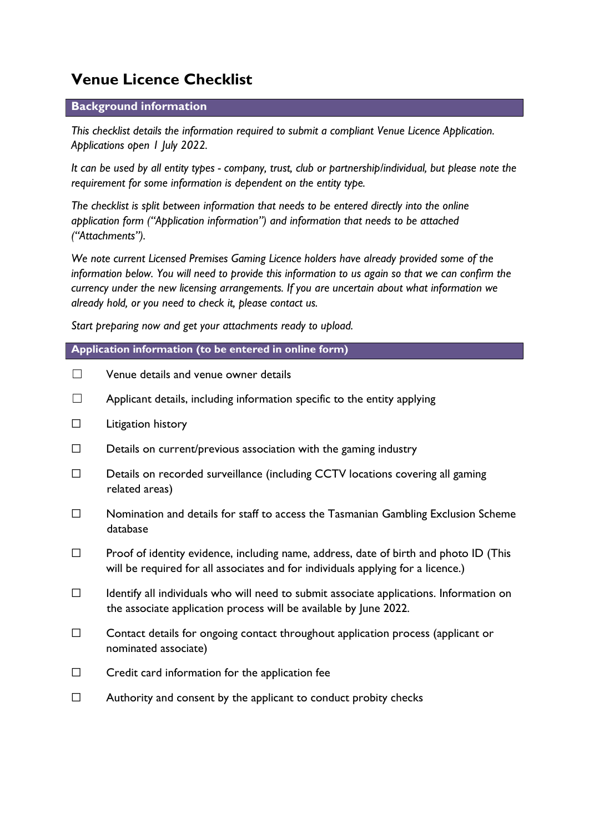# Venue Licence Checklist

## Background information

This checklist details the information required to submit a compliant Venue Licence Application. Applications open 1 July 2022.

It can be used by all entity types - company, trust, club or partnership/individual, but please note the requirement for some information is dependent on the entity type.

The checklist is split between information that needs to be entered directly into the online application form ("Application information") and information that needs to be attached ("Attachments").

We note current Licensed Premises Gaming Licence holders have already provided some of the information below. You will need to provide this information to us again so that we can confirm the currency under the new licensing arrangements. If you are uncertain about what information we already hold, or you need to check it, please contact us.

Start preparing now and get your attachments ready to upload.

## Application information (to be entered in online form)

- ☐ Venue details and venue owner details
- $\Box$  Applicant details, including information specific to the entity applying
- ☐ Litigation history
- $\Box$  Details on current/previous association with the gaming industry
- ☐ Details on recorded surveillance (including CCTV locations covering all gaming related areas)
- ☐ Nomination and details for staff to access the Tasmanian Gambling Exclusion Scheme database
- $\Box$  Proof of identity evidence, including name, address, date of birth and photo ID (This will be required for all associates and for individuals applying for a licence.)
- ☐ Identify all individuals who will need to submit associate applications. Information on the associate application process will be available by June 2022.
- ☐ Contact details for ongoing contact throughout application process (applicant or nominated associate)
- $\Box$  Credit card information for the application fee
- $\Box$  Authority and consent by the applicant to conduct probity checks